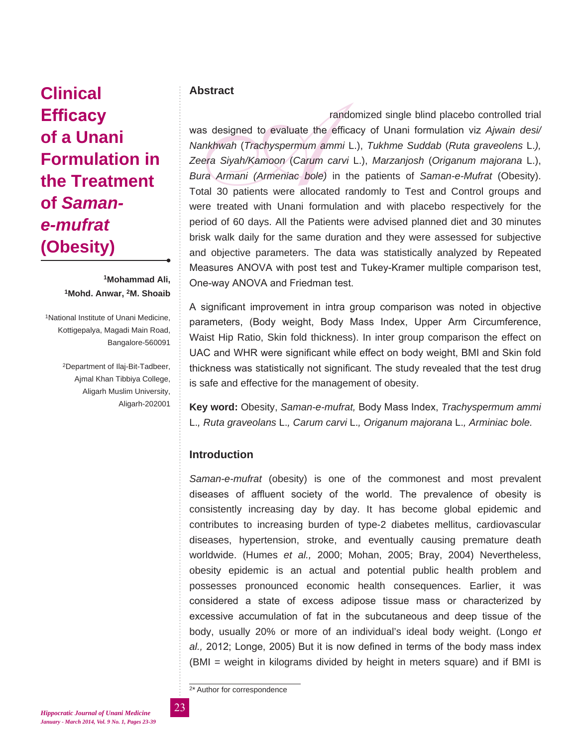# **Clinical Efficacy of a Unani Formulation in the Treatment of** *Samane-mufrat*  **(Obesity)**

## **1Mohammad Ali, 1Mohd. Anwar, 2M. Shoaib**

1National Institute of Unani Medicine, Kottigepalya, Magadi Main Road, Bangalore-560091

> 2Department of Ilaj-Bit-Tadbeer, Ajmal Khan Tibbiya College, Aligarh Muslim University, Aligarh-202001

# **Abstract**

randomized single blind placebo controlled trial<br>was designed to evaluate the efficacy of Unani formulation viz Ajwain desi/<br>Nankhwah (Trachyspermum ammi L.), Tukhme Suddab (Ruta graveolens L.),<br>Zeera Siyah/Kamoon (Carum c was designed to evaluate the efficacy of Unani formulation viz *Ajwain desi/ Nankhwah* (*Trachyspermum ammi* L.), *Tukhme Suddab* (*Ruta graveolens* L.*), Zeera Siyah/Kamoon* (*Carum carvi* L.), *Marzanjosh* (*Origanum majorana* L.), *Bura Armani (Armeniac bole)* in the patients of *Saman-e-Mufrat* (Obesity). Total 30 patients were allocated randomly to Test and Control groups and were treated with Unani formulation and with placebo respectively for the period of 60 days. All the Patients were advised planned diet and 30 minutes brisk walk daily for the same duration and they were assessed for subjective and objective parameters. The data was statistically analyzed by Repeated Measures ANOVA with post test and Tukey-Kramer multiple comparison test, One-way ANOVA and Friedman test.

A significant improvement in intra group comparison was noted in objective parameters, (Body weight, Body Mass Index, Upper Arm Circumference, Waist Hip Ratio, Skin fold thickness). In inter group comparison the effect on UAC and WHR were significant while effect on body weight, BMI and Skin fold thickness was statistically not significant. The study revealed that the test drug is safe and effective for the management of obesity.

**Key word:** Obesity, *Saman-e-mufrat,* Body Mass Index, *Trachyspermum ammi*  L.*, Ruta graveolans* L.*, Carum carvi* L.*, Origanum majorana* L.*, Arminiac bole.*

# **Introduction**

*Saman-e-mufrat* (obesity) is one of the commonest and most prevalent diseases of affluent society of the world. The prevalence of obesity is consistently increasing day by day. It has become global epidemic and contributes to increasing burden of type-2 diabetes mellitus, cardiovascular diseases, hypertension, stroke, and eventually causing premature death worldwide. (Humes *et al.,* 2000; Mohan, 2005; Bray, 2004) Nevertheless, obesity epidemic is an actual and potential public health problem and possesses pronounced economic health consequences. Earlier, it was considered a state of excess adipose tissue mass or characterized by excessive accumulation of fat in the subcutaneous and deep tissue of the body, usually 20% or more of an individual's ideal body weight. (Longo *et al.,* 2012; Longe, 2005) But it is now defined in terms of the body mass index (BMI = weight in kilograms divided by height in meters square) and if BMI is

2\* Author for correspondence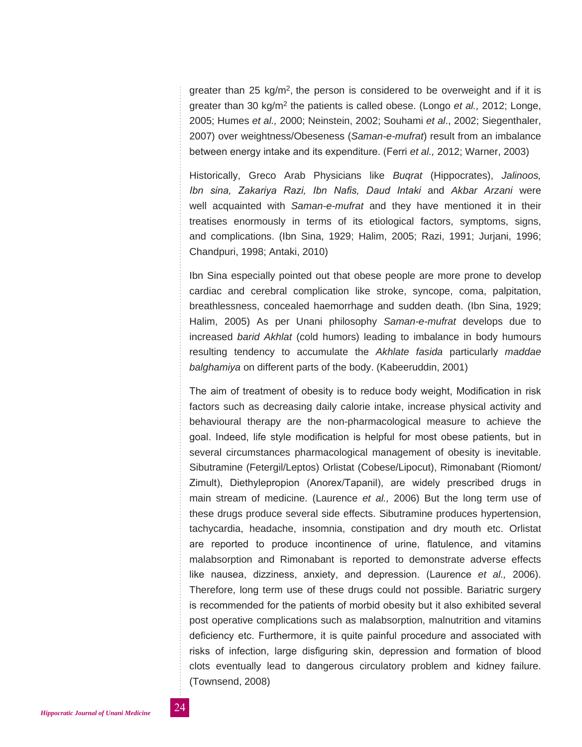greater than 25 kg/m<sup>2</sup>, the person is considered to be overweight and if it is greater than 30 kg/m2 the patients is called obese. (Longo *et al.,* 2012; Longe, 2005; Humes *et al.,* 2000; Neinstein, 2002; Souhami *et al*., 2002; Siegenthaler, 2007) over weightness/Obeseness (*Saman-e-mufrat*) result from an imbalance between energy intake and its expenditure. (Ferri *et al.,* 2012; Warner, 2003)

Historically, Greco Arab Physicians like *Buqrat* (Hippocrates), *Jalinoos, Ibn sina, Zakariya Razi, Ibn Nafis, Daud Intaki* and *Akbar Arzani* were well acquainted with *Saman-e-mufrat* and they have mentioned it in their treatises enormously in terms of its etiological factors, symptoms, signs, and complications. (Ibn Sina, 1929; Halim, 2005; Razi, 1991; Jurjani, 1996; Chandpuri, 1998; Antaki, 2010)

Ibn Sina especially pointed out that obese people are more prone to develop cardiac and cerebral complication like stroke, syncope, coma, palpitation, breathlessness, concealed haemorrhage and sudden death. (Ibn Sina, 1929; Halim, 2005) As per Unani philosophy *Saman-e-mufrat* develops due to increased *barid Akhlat* (cold humors) leading to imbalance in body humours resulting tendency to accumulate the *Akhlate fasida* particularly *maddae balghamiya* on different parts of the body. (Kabeeruddin, 2001)

The aim of treatment of obesity is to reduce body weight, Modification in risk factors such as decreasing daily calorie intake, increase physical activity and behavioural therapy are the non-pharmacological measure to achieve the goal. Indeed, life style modification is helpful for most obese patients, but in several circumstances pharmacological management of obesity is inevitable. Sibutramine (Fetergil/Leptos) Orlistat (Cobese/Lipocut), Rimonabant (Riomont/ Zimult), Diethylepropion (Anorex/Tapanil), are widely prescribed drugs in main stream of medicine. (Laurence *et al.,* 2006) But the long term use of these drugs produce several side effects. Sibutramine produces hypertension, tachycardia, headache, insomnia, constipation and dry mouth etc. Orlistat are reported to produce incontinence of urine, flatulence, and vitamins malabsorption and Rimonabant is reported to demonstrate adverse effects like nausea, dizziness, anxiety, and depression. (Laurence *et al.,* 2006). Therefore, long term use of these drugs could not possible. Bariatric surgery is recommended for the patients of morbid obesity but it also exhibited several post operative complications such as malabsorption, malnutrition and vitamins deficiency etc. Furthermore, it is quite painful procedure and associated with risks of infection, large disfiguring skin, depression and formation of blood clots eventually lead to dangerous circulatory problem and kidney failure. (Townsend, 2008)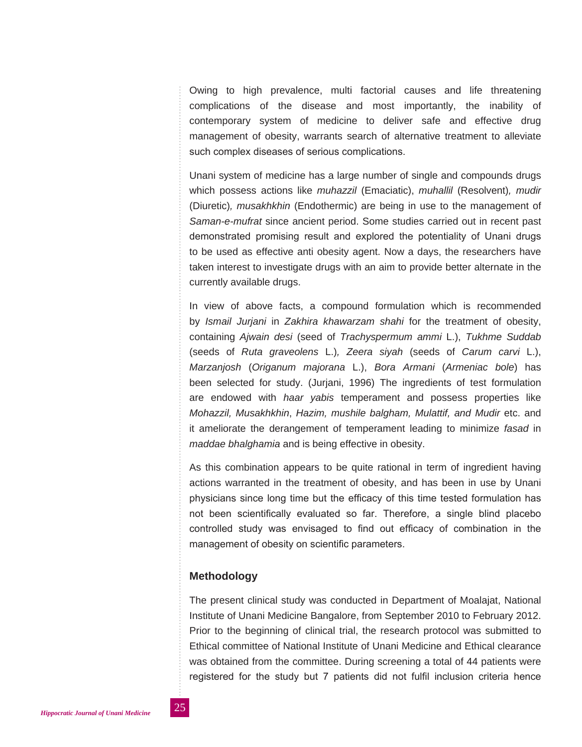Owing to high prevalence, multi factorial causes and life threatening complications of the disease and most importantly, the inability of contemporary system of medicine to deliver safe and effective drug management of obesity, warrants search of alternative treatment to alleviate such complex diseases of serious complications.

Unani system of medicine has a large number of single and compounds drugs which possess actions like *muhazzil* (Emaciatic), *muhallil* (Resolvent)*, mudir*  (Diuretic)*, musakhkhin* (Endothermic) are being in use to the management of *Saman-e-mufrat* since ancient period. Some studies carried out in recent past demonstrated promising result and explored the potentiality of Unani drugs to be used as effective anti obesity agent. Now a days, the researchers have taken interest to investigate drugs with an aim to provide better alternate in the currently available drugs.

In view of above facts, a compound formulation which is recommended by *Ismail Jurjani* in *Zakhira khawarzam shahi* for the treatment of obesity, containing *Ajwain desi* (seed of *Trachyspermum ammi* L.), *Tukhme Suddab* (seeds of *Ruta graveolens* L.)*, Zeera siyah* (seeds of *Carum carvi* L.), *Marzanjosh* (*Origanum majorana* L.), *Bora Armani* (*Armeniac bole*) has been selected for study. (Jurjani, 1996) The ingredients of test formulation are endowed with *haar yabis* temperament and possess properties like *Mohazzil, Musakhkhin*, *Hazim, mushile balgham, Mulattif, and Mudir* etc. and it ameliorate the derangement of temperament leading to minimize *fasad* in *maddae bhalghamia* and is being effective in obesity.

As this combination appears to be quite rational in term of ingredient having actions warranted in the treatment of obesity, and has been in use by Unani physicians since long time but the efficacy of this time tested formulation has not been scientifically evaluated so far. Therefore, a single blind placebo controlled study was envisaged to find out efficacy of combination in the management of obesity on scientific parameters.

# **Methodology**

The present clinical study was conducted in Department of Moalajat, National Institute of Unani Medicine Bangalore, from September 2010 to February 2012. Prior to the beginning of clinical trial, the research protocol was submitted to Ethical committee of National Institute of Unani Medicine and Ethical clearance was obtained from the committee. During screening a total of 44 patients were registered for the study but 7 patients did not fulfil inclusion criteria hence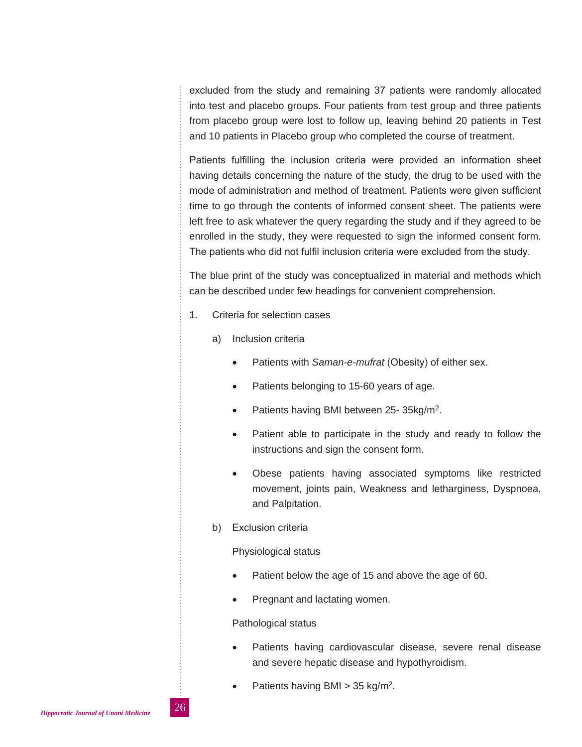excluded from the study and remaining 37 patients were randomly allocated into test and placebo groups. Four patients from test group and three patients from placebo group were lost to follow up, leaving behind 20 patients in Test and 10 patients in Placebo group who completed the course of treatment.

Patients fulfilling the inclusion criteria were provided an information sheet having details concerning the nature of the study, the drug to be used with the mode of administration and method of treatment. Patients were given sufficient time to go through the contents of informed consent sheet. The patients were left free to ask whatever the query regarding the study and if they agreed to be enrolled in the study, they were requested to sign the informed consent form. The patients who did not fulfil inclusion criteria were excluded from the study.

The blue print of the study was conceptualized in material and methods which can be described under few headings for convenient comprehension.

- 1. Criteria for selection cases
	- a) Inclusion criteria
		- Patients with *Saman-e-mufrat* (Obesity) of either sex.
		- Patients belonging to 15-60 years of age.
		- Patients having BMI between 25-35kg/m<sup>2</sup>.
		- Patient able to participate in the study and ready to follow the instructions and sign the consent form.
		- Obese patients having associated symptoms like restricted movement, joints pain, Weakness and letharginess, Dyspnoea, and Palpitation.
	- b) Exclusion criteria

Physiological status

- Patient below the age of 15 and above the age of 60.
- Pregnant and lactating women.

#### Pathological status

- Patients having cardiovascular disease, severe renal disease and severe hepatic disease and hypothyroidism.
- Patients having BMI  $> 35$  kg/m<sup>2</sup>.

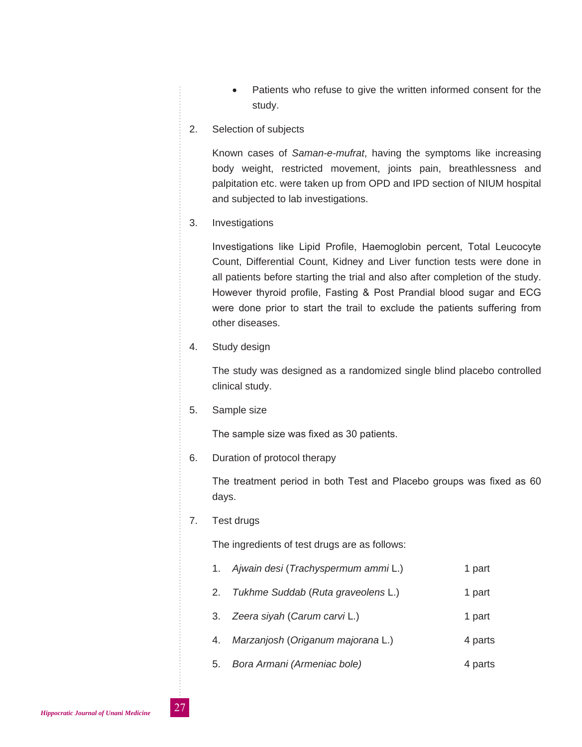Patients who refuse to give the written informed consent for the study.

#### 2. Selection of subjects

Known cases of *Saman-e-mufrat*, having the symptoms like increasing body weight, restricted movement, joints pain, breathlessness and palpitation etc. were taken up from OPD and IPD section of NIUM hospital and subjected to lab investigations.

3. Investigations

Investigations like Lipid Profile, Haemoglobin percent, Total Leucocyte Count, Differential Count, Kidney and Liver function tests were done in all patients before starting the trial and also after completion of the study. However thyroid profile, Fasting & Post Prandial blood sugar and ECG were done prior to start the trail to exclude the patients suffering from other diseases.

4. Study design

The study was designed as a randomized single blind placebo controlled clinical study.

5. Sample size

The sample size was fixed as 30 patients.

6. Duration of protocol therapy

The treatment period in both Test and Placebo groups was fixed as 60 days.

7. Test drugs

The ingredients of test drugs are as follows:

- 1. *Ajwain desi* (*Trachyspermum ammi* L.) 1 part
- 2. *Tukhme Suddab* (*Ruta graveolens* L.) 1 part
- 3. *Zeera siyah* (*Carum carvi* L.) 1 part
- 4. *Marzanjosh* (*Origanum majorana* L.) 4 parts
- 5. *Bora Armani (Armeniac bole)* 4 parts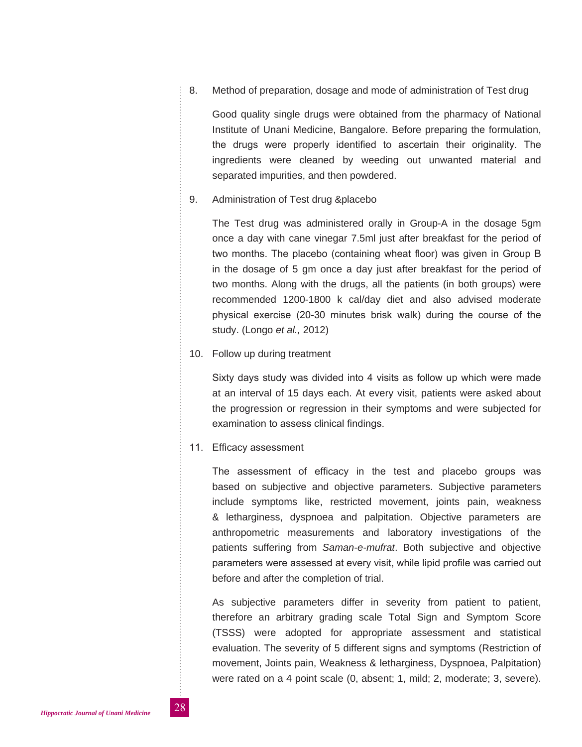8. Method of preparation, dosage and mode of administration of Test drug

Good quality single drugs were obtained from the pharmacy of National Institute of Unani Medicine, Bangalore. Before preparing the formulation, the drugs were properly identified to ascertain their originality. The ingredients were cleaned by weeding out unwanted material and separated impurities, and then powdered.

9. Administration of Test drug &placebo

The Test drug was administered orally in Group-A in the dosage 5gm once a day with cane vinegar 7.5ml just after breakfast for the period of two months. The placebo (containing wheat floor) was given in Group B in the dosage of 5 gm once a day just after breakfast for the period of two months. Along with the drugs, all the patients (in both groups) were recommended 1200-1800 k cal/day diet and also advised moderate physical exercise (20-30 minutes brisk walk) during the course of the study. (Longo *et al.,* 2012)

#### 10. Follow up during treatment

Sixty days study was divided into 4 visits as follow up which were made at an interval of 15 days each. At every visit, patients were asked about the progression or regression in their symptoms and were subjected for examination to assess clinical findings.

#### 11. Efficacy assessment

The assessment of efficacy in the test and placebo groups was based on subjective and objective parameters. Subjective parameters include symptoms like, restricted movement, joints pain, weakness & letharginess, dyspnoea and palpitation. Objective parameters are anthropometric measurements and laboratory investigations of the patients suffering from *Saman-e-mufrat*. Both subjective and objective parameters were assessed at every visit, while lipid profile was carried out before and after the completion of trial.

As subjective parameters differ in severity from patient to patient, therefore an arbitrary grading scale Total Sign and Symptom Score (TSSS) were adopted for appropriate assessment and statistical evaluation. The severity of 5 different signs and symptoms (Restriction of movement, Joints pain, Weakness & letharginess, Dyspnoea, Palpitation) were rated on a 4 point scale (0, absent; 1, mild; 2, moderate; 3, severe).

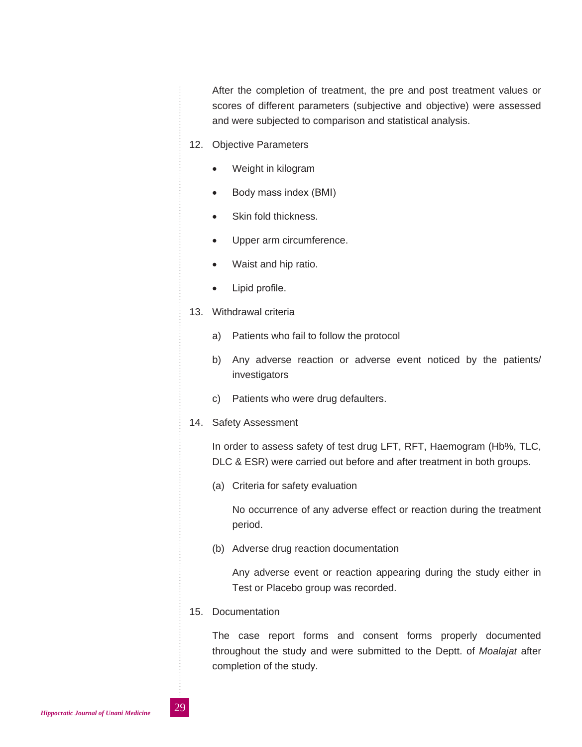After the completion of treatment, the pre and post treatment values or scores of different parameters (subjective and objective) were assessed and were subjected to comparison and statistical analysis.

- 12. Objective Parameters
	- Weight in kilogram
	- Body mass index (BMI)
	- Skin fold thickness.
	- Upper arm circumference.
	- Waist and hip ratio.
	- Lipid profile.
- 13. Withdrawal criteria
	- a) Patients who fail to follow the protocol
	- b) Any adverse reaction or adverse event noticed by the patients/ investigators
	- c) Patients who were drug defaulters.
- 14. Safety Assessment

In order to assess safety of test drug LFT, RFT, Haemogram (Hb%, TLC, DLC & ESR) were carried out before and after treatment in both groups.

(a) Criteria for safety evaluation

No occurrence of any adverse effect or reaction during the treatment period.

(b) Adverse drug reaction documentation

Any adverse event or reaction appearing during the study either in Test or Placebo group was recorded.

15. Documentation

The case report forms and consent forms properly documented throughout the study and were submitted to the Deptt. of *Moalajat* after completion of the study.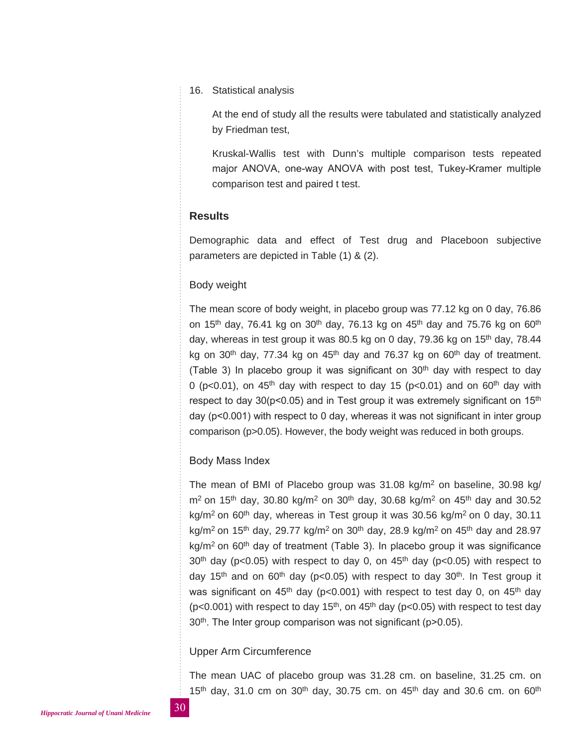#### 16. Statistical analysis

At the end of study all the results were tabulated and statistically analyzed by Friedman test,

Kruskal-Wallis test with Dunn's multiple comparison tests repeated major ANOVA, one-way ANOVA with post test, Tukey-Kramer multiple comparison test and paired t test.

# **Results**

Demographic data and effect of Test drug and Placeboon subjective parameters are depicted in Table (1) & (2).

#### Body weight

The mean score of body weight, in placebo group was 77.12 kg on 0 day, 76.86 on 15<sup>th</sup> day, 76.41 kg on 30<sup>th</sup> day, 76.13 kg on 45<sup>th</sup> day and 75.76 kg on 60<sup>th</sup> day, whereas in test group it was 80.5 kg on 0 day,  $79.36$  kg on  $15<sup>th</sup>$  day,  $78.44$ kg on 30<sup>th</sup> day, 77.34 kg on  $45<sup>th</sup>$  day and 76.37 kg on 60<sup>th</sup> day of treatment. (Table 3) In placebo group it was significant on  $30<sup>th</sup>$  day with respect to day 0 (p<0.01), on  $45<sup>th</sup>$  day with respect to day 15 (p<0.01) and on 60<sup>th</sup> day with respect to day 30( $p$ <0.05) and in Test group it was extremely significant on 15<sup>th</sup> day (p<0.001) with respect to 0 day, whereas it was not significant in inter group comparison (p>0.05). However, the body weight was reduced in both groups.

#### Body Mass Index

The mean of BMI of Placebo group was 31.08 kg/m2 on baseline, 30.98 kg/  $m^2$  on 15<sup>th</sup> day, 30.80 kg/m<sup>2</sup> on 30<sup>th</sup> day, 30.68 kg/m<sup>2</sup> on 45<sup>th</sup> day and 30.52 kg/m<sup>2</sup> on 60<sup>th</sup> day, whereas in Test group it was 30.56 kg/m<sup>2</sup> on 0 day, 30.11 kg/m<sup>2</sup> on 15<sup>th</sup> day, 29.77 kg/m<sup>2</sup> on 30<sup>th</sup> day, 28.9 kg/m<sup>2</sup> on 45<sup>th</sup> day and 28.97  $kg/m<sup>2</sup>$  on 60<sup>th</sup> day of treatment (Table 3). In placebo group it was significance  $30<sup>th</sup>$  day (p<0.05) with respect to day 0, on  $45<sup>th</sup>$  day (p<0.05) with respect to day 15<sup>th</sup> and on 60<sup>th</sup> day (p<0.05) with respect to day 30<sup>th</sup>. In Test group it was significant on 45<sup>th</sup> day (p<0.001) with respect to test day 0, on 45<sup>th</sup> day ( $p$ <0.001) with respect to day 15<sup>th</sup>, on 45<sup>th</sup> day ( $p$ <0.05) with respect to test day 30<sup>th</sup>. The Inter group comparison was not significant (p>0.05).

#### Upper Arm Circumference

The mean UAC of placebo group was 31.28 cm. on baseline, 31.25 cm. on 15<sup>th</sup> day, 31.0 cm on 30<sup>th</sup> day, 30.75 cm. on 45<sup>th</sup> day and 30.6 cm. on 60<sup>th</sup>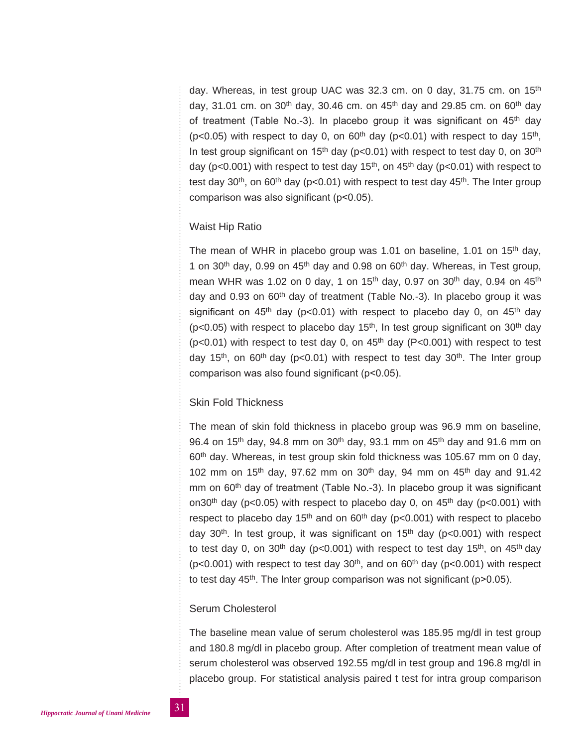day. Whereas, in test group UAC was 32.3 cm. on 0 day, 31.75 cm. on 15<sup>th</sup> day, 31.01 cm, on 30<sup>th</sup> day, 30.46 cm, on 45<sup>th</sup> day and 29.85 cm, on 60<sup>th</sup> day of treatment (Table No.-3). In placebo group it was significant on 45<sup>th</sup> day ( $p$ <0.05) with respect to day 0, on 60<sup>th</sup> day ( $p$ <0.01) with respect to day 15<sup>th</sup>, In test group significant on 15<sup>th</sup> day ( $p$ <0.01) with respect to test day 0, on 30<sup>th</sup> day ( $p$ <0.001) with respect to test day 15<sup>th</sup>, on 45<sup>th</sup> day ( $p$ <0.01) with respect to test day  $30<sup>th</sup>$ , on  $60<sup>th</sup>$  day (p<0.01) with respect to test day  $45<sup>th</sup>$ . The Inter group comparison was also significant (p<0.05).

## Waist Hip Ratio

The mean of WHR in placebo group was 1.01 on baseline, 1.01 on 15<sup>th</sup> day, 1 on 30<sup>th</sup> day, 0.99 on 45<sup>th</sup> day and 0.98 on 60<sup>th</sup> day. Whereas, in Test group, mean WHR was 1.02 on 0 day, 1 on 15<sup>th</sup> day, 0.97 on 30<sup>th</sup> day, 0.94 on 45<sup>th</sup> day and 0.93 on  $60<sup>th</sup>$  day of treatment (Table No.-3). In placebo group it was significant on  $45<sup>th</sup>$  day (p<0.01) with respect to placebo day 0, on  $45<sup>th</sup>$  day ( $p$ <0.05) with respect to placebo day 15<sup>th</sup>, In test group significant on 30<sup>th</sup> day ( $p$ <0.01) with respect to test day 0, on 45<sup>th</sup> day ( $P$ <0.001) with respect to test day 15<sup>th</sup>, on 60<sup>th</sup> day (p<0.01) with respect to test day 30<sup>th</sup>. The Inter group comparison was also found significant (p<0.05).

# Skin Fold Thickness

The mean of skin fold thickness in placebo group was 96.9 mm on baseline, 96.4 on 15<sup>th</sup> day, 94.8 mm on 30<sup>th</sup> day, 93.1 mm on 45<sup>th</sup> day and 91.6 mm on 60<sup>th</sup> day. Whereas, in test group skin fold thickness was 105.67 mm on 0 day, 102 mm on 15<sup>th</sup> day, 97.62 mm on 30<sup>th</sup> day, 94 mm on 45<sup>th</sup> day and 91.42 mm on 60<sup>th</sup> day of treatment (Table No.-3). In placebo group it was significant on30<sup>th</sup> day (p<0.05) with respect to placebo day 0, on  $45<sup>th</sup>$  day (p<0.001) with respect to placebo day 15<sup>th</sup> and on  $60<sup>th</sup>$  day (p<0.001) with respect to placebo day 30<sup>th</sup>. In test group, it was significant on  $15<sup>th</sup>$  day ( $p < 0.001$ ) with respect to test day 0, on 30<sup>th</sup> day ( $p < 0.001$ ) with respect to test day 15<sup>th</sup>, on 45<sup>th</sup> day ( $p$ <0.001) with respect to test day  $30<sup>th</sup>$ , and on  $60<sup>th</sup>$  day ( $p$ <0.001) with respect to test day  $45<sup>th</sup>$ . The Inter group comparison was not significant (p>0.05).

# Serum Cholesterol

The baseline mean value of serum cholesterol was 185.95 mg/dl in test group and 180.8 mg/dl in placebo group. After completion of treatment mean value of serum cholesterol was observed 192.55 mg/dl in test group and 196.8 mg/dl in placebo group. For statistical analysis paired t test for intra group comparison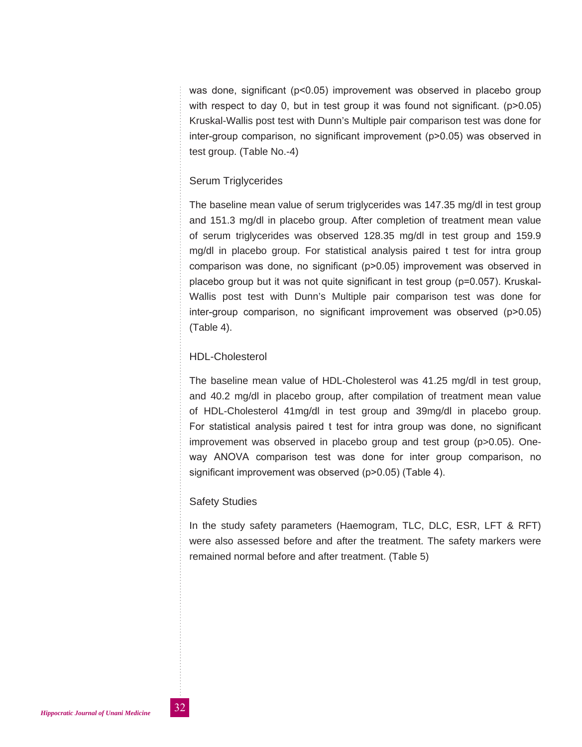was done, significant (p<0.05) improvement was observed in placebo group with respect to day 0, but in test group it was found not significant.  $(p>0.05)$ Kruskal-Wallis post test with Dunn's Multiple pair comparison test was done for inter-group comparison, no significant improvement (p>0.05) was observed in test group. (Table No.-4)

# Serum Triglycerides

The baseline mean value of serum triglycerides was 147.35 mg/dl in test group and 151.3 mg/dl in placebo group. After completion of treatment mean value of serum triglycerides was observed 128.35 mg/dl in test group and 159.9 mg/dl in placebo group. For statistical analysis paired t test for intra group comparison was done, no significant (p>0.05) improvement was observed in placebo group but it was not quite significant in test group (p=0.057). Kruskal-Wallis post test with Dunn's Multiple pair comparison test was done for inter-group comparison, no significant improvement was observed (p>0.05) (Table 4).

# HDL-Cholesterol

The baseline mean value of HDL-Cholesterol was 41.25 mg/dl in test group, and 40.2 mg/dl in placebo group, after compilation of treatment mean value of HDL-Cholesterol 41mg/dl in test group and 39mg/dl in placebo group. For statistical analysis paired t test for intra group was done, no significant improvement was observed in placebo group and test group (p>0.05). Oneway ANOVA comparison test was done for inter group comparison, no significant improvement was observed (p>0.05) (Table 4).

# Safety Studies

In the study safety parameters (Haemogram, TLC, DLC, ESR, LFT & RFT) were also assessed before and after the treatment. The safety markers were remained normal before and after treatment. (Table 5)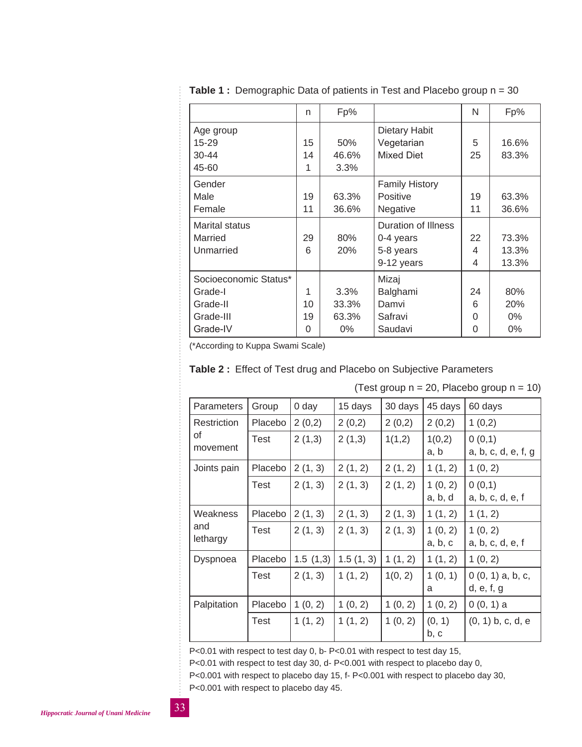|                       | n  | Fp%   |                              | N  | Fp%   |
|-----------------------|----|-------|------------------------------|----|-------|
| Age group             |    |       | Dietary Habit                |    |       |
| 15-29                 | 15 | 50%   | Vegetarian                   | 5  | 16.6% |
| $30 - 44$             | 14 | 46.6% | <b>Mixed Diet</b>            | 25 | 83.3% |
| 45-60                 | 1  | 3.3%  |                              |    |       |
| Gender                |    |       | <b>Family History</b>        |    |       |
| Male                  | 19 | 63.3% | <b>Positive</b>              | 19 | 63.3% |
| Female                | 11 | 36.6% | Negative                     | 11 | 36.6% |
| <b>Marital status</b> |    |       | Duration of Illness          |    |       |
| Married               | 29 | 80%   | 0-4 years                    | 22 | 73.3% |
| Unmarried             | 6  | 20%   | 5-8 years                    |    | 13.3% |
|                       |    |       | 9-12 years                   | 4  | 13.3% |
| Socioeconomic Status* |    |       | Mizaj                        |    |       |
| Grade-I               | 1  | 3.3%  | Balghami                     | 24 | 80%   |
| Grade-II              | 10 | 33.3% | 6<br>Damvi                   |    | 20%   |
| Grade-III             | 19 | 63.3% | Safravi<br>$0\%$<br>$\Omega$ |    |       |
| Grade-IV              | 0  | $0\%$ | Saudavi<br>$0\%$<br>0        |    |       |

**Table 1 :** Demographic Data of patients in Test and Placebo group n = 30

(\*According to Kuppa Swami Scale)

|  |  |  | Table 2: Effect of Test drug and Placebo on Subjective Parameters |  |
|--|--|--|-------------------------------------------------------------------|--|
|--|--|--|-------------------------------------------------------------------|--|

| Parameters                  | Group   | 0 day    | 15 days   | 30 days | 45 days            | 60 days                          |
|-----------------------------|---------|----------|-----------|---------|--------------------|----------------------------------|
| Restriction                 | Placebo | 2(0,2)   | 2(0,2)    | 2(0,2)  | 2(0,2)             | 1(0,2)                           |
| οf<br>movement              | Test    | 2(1,3)   | 2(1,3)    | 1(1,2)  | 1(0,2)<br>a, b     | 0(0,1)<br>a, b, c, d, e, f, g    |
| Joints pain                 | Placebo | 2(1, 3)  | 2(1, 2)   | 2(1, 2) | 1(1, 2)            | 1(0, 2)                          |
|                             | Test    | 2(1, 3)  | 2(1, 3)   | 2(1, 2) | 1(0, 2)<br>a, b, d | 0(0,1)<br>a, b, c, d, e, f       |
| Weakness<br>and<br>lethargy | Placebo | 2(1, 3)  | 2(1, 3)   | 2(1, 3) | 1(1, 2)            | 1(1, 2)                          |
|                             | Test    | 2(1, 3)  | 2(1, 3)   | 2(1, 3) | 1(0, 2)<br>a, b, c | 1(0, 2)<br>a, b, c, d, e, f      |
| Dyspnoea                    | Placebo | 1.5(1,3) | 1.5(1, 3) | 1(1, 2) | 1(1, 2)            | 1(0, 2)                          |
|                             | Test    | 2(1, 3)  | 1(1, 2)   | 1(0, 2) | 1(0, 1)<br>a       | $0(0, 1)$ a, b, c,<br>d, e, f, g |
| Palpitation                 | Placebo | 1(0, 2)  | 1(0, 2)   | 1(0, 2) | 1(0, 2)            | $0(0, 1)$ a                      |
|                             | Test    | 1(1, 2)  | 1(1, 2)   | 1(0, 2) | (0, 1)<br>b, c     | $(0, 1)$ b, c, d, e              |

(Test group  $n = 20$ , Placebo group  $n = 10$ )

P<0.01 with respect to test day 0, b- P<0.01 with respect to test day 15,

P<0.01 with respect to test day 30, d- P<0.001 with respect to placebo day 0,

P<0.001 with respect to placebo day 15, f- P<0.001 with respect to placebo day 30,

P<0.001 with respect to placebo day 45.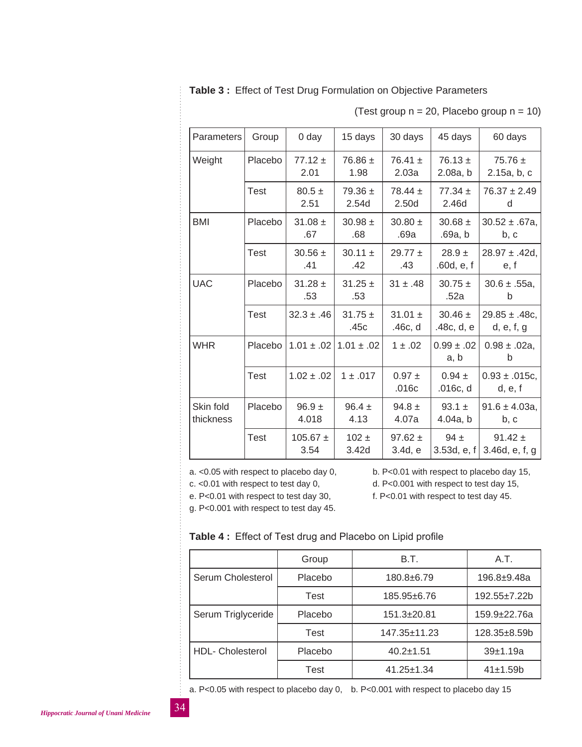**Table 3 :** Effect of Test Drug Formulation on Objective Parameters

(Test group  $n = 20$ , Placebo group  $n = 10$ )

| <b>Parameters</b>      | Group       | 0 day                | 15 days              | 30 days                | 45 days                   | 60 days                          |
|------------------------|-------------|----------------------|----------------------|------------------------|---------------------------|----------------------------------|
| Weight                 | Placebo     | $77.12 \pm$<br>2.01  | $76.86 \pm$<br>1.98  | $76.41 \pm$<br>2.03a   | $76.13 \pm$<br>2.08a, b   | $75.76 \pm$<br>2.15a, b, c       |
|                        | Test        | $80.5 \pm$<br>2.51   | $79.36 \pm$<br>2.54d | 78.44 $\pm$<br>2.50d   | $77.34 \pm$<br>2.46d      | $76.37 \pm 2.49$<br>d            |
| <b>BMI</b>             | Placebo     | $31.08 \pm$<br>.67   | $30.98 \pm$<br>.68   | $30.80 \pm$<br>.69a    | $30.68 \pm$<br>.69a, b    | $30.52 \pm .67a$ ,<br>b, c       |
|                        | <b>Test</b> | $30.56 \pm$<br>.41   | $30.11 \pm$<br>.42   | $29.77 \pm$<br>.43     | $28.9 \pm$<br>.60d, e, f  | $28.97 \pm .42d$ .<br>e, f       |
| <b>UAC</b>             | Placebo     | $31.28 \pm$<br>.53   | $31.25 \pm$<br>.53   | $31 \pm .48$           | $30.75 \pm$<br>.52a       | $30.6 \pm .55a,$<br>b            |
|                        | Test        | $32.3 \pm .46$       | $31.75 \pm$<br>.45c  | 31.01 $\pm$<br>.46c, d | $30.46 \pm$<br>.48c, d, e | $29.85 \pm .48c$ ,<br>d, e, f, g |
| <b>WHR</b>             | Placebo     | $1.01 \pm .02$       | $1.01 \pm .02$       | $1 \pm .02$            | $0.99 \pm .02$<br>a, b    | $0.98 \pm .02a$ ,<br>b           |
|                        | Test        | $1.02 \pm .02$       | $1 \pm .017$         | $0.97 \pm$<br>.016c    | $0.94 \pm$<br>.016c, d    | $0.93 \pm .015c,$<br>d, e, f     |
| Skin fold<br>thickness | Placebo     | $96.9 +$<br>4.018    | $96.4 \pm$<br>4.13   | $94.8 \pm$<br>4.07a    | 93.1 $\pm$<br>4.04a, b    | $91.6 \pm 4.03a$ ,<br>b, c       |
|                        | <b>Test</b> | $105.67 \pm$<br>3.54 | $102 +$<br>3.42d     | 97.62 $\pm$<br>3.4d, e | $94 \pm$<br>3.53d, $e, f$ | 91.42 $\pm$<br>3.46d, e, f, g    |

g. P<0.001 with respect to test day 45.

a. <0.05 with respect to placebo day 0, b. P<0.01 with respect to placebo day 15,

c. <0.01 with respect to test day 0, d. P<0.001 with respect to test day 15,

e. P<0.01 with respect to test day 30, f. P<0.01 with respect to test day 45.

#### **Table 4 :** Effect of Test drug and Placebo on Lipid profile

|                         | Group   | B.T.               | A.T.            |
|-------------------------|---------|--------------------|-----------------|
| Serum Cholesterol       | Placebo | 180.8±6.79         | 196.8±9.48a     |
|                         | Test    | 185.95±6.76        | 192.55±7.22b    |
| Serum Triglyceride      | Placebo | $151.3 \pm 20.81$  | 159.9±22.76a    |
|                         | Test    | $147.35 \pm 11.23$ | $128.35 + 8.59$ |
| <b>HDL- Cholesterol</b> | Placebo | $40.2 \pm 1.51$    | 39±1.19a        |
|                         | Test    | $41.25 \pm 1.34$   | 41±1.59b        |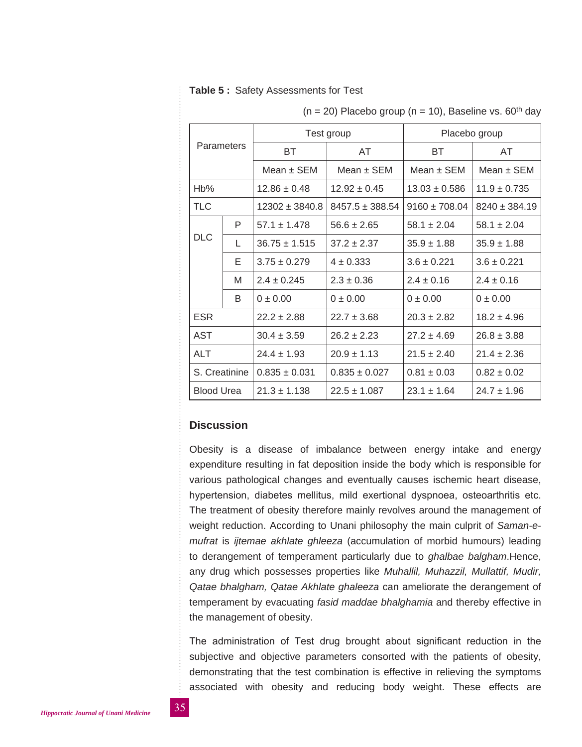#### **Table 5 :** Safety Assessments for Test

| <b>Parameters</b> |   |                    | Test group                            | Placebo group     |                   |  |  |
|-------------------|---|--------------------|---------------------------------------|-------------------|-------------------|--|--|
|                   |   | <b>BT</b>          | AT                                    |                   | AT                |  |  |
|                   |   | Mean $\pm$ SEM     | Mean $\pm$ SEM                        | Mean $\pm$ SEM    | Mean $\pm$ SEM    |  |  |
| Hb%               |   | $12.86 \pm 0.48$   | $12.92 \pm 0.45$<br>$13.03 \pm 0.586$ |                   | $11.9 \pm 0.735$  |  |  |
| <b>TLC</b>        |   | $12302 \pm 3840.8$ | $8457.5 \pm 388.54$                   | $9160 \pm 708.04$ | $8240 \pm 384.19$ |  |  |
|                   | P | $57.1 + 1.478$     | $56.6 \pm 2.65$                       | $58.1 \pm 2.04$   | $58.1 \pm 2.04$   |  |  |
| <b>DLC</b>        | L | $36.75 \pm 1.515$  | $37.2 \pm 2.37$                       | $35.9 \pm 1.88$   | $35.9 \pm 1.88$   |  |  |
|                   | E | $3.75 \pm 0.279$   | $4 \pm 0.333$                         | $3.6 \pm 0.221$   | $3.6 \pm 0.221$   |  |  |
|                   | M | $2.4 \pm 0.245$    | $2.3 \pm 0.36$                        | $2.4 \pm 0.16$    | $2.4 \pm 0.16$    |  |  |
|                   | B | $0 \pm 0.00$       | $0 \pm 0.00$                          | $0 \pm 0.00$      | $0 \pm 0.00$      |  |  |
| <b>ESR</b>        |   | $22.2 \pm 2.88$    | $22.7 \pm 3.68$                       | $20.3 \pm 2.82$   | $18.2 \pm 4.96$   |  |  |
| AST               |   | $30.4 \pm 3.59$    | $26.2 \pm 2.23$                       | $27.2 \pm 4.69$   | $26.8 \pm 3.88$   |  |  |
| ALT               |   | $24.4 \pm 1.93$    | $20.9 \pm 1.13$                       | $21.5 \pm 2.40$   | $21.4 \pm 2.36$   |  |  |
| S. Creatinine     |   | $0.835 \pm 0.031$  | $0.835 \pm 0.027$                     | $0.81 \pm 0.03$   | $0.82 \pm 0.02$   |  |  |
| <b>Blood Urea</b> |   | $21.3 \pm 1.138$   | $22.5 \pm 1.087$                      | $23.1 \pm 1.64$   | $24.7 + 1.96$     |  |  |

 $(n = 20)$  Placebo group  $(n = 10)$ , Baseline vs. 60<sup>th</sup> day

## **Discussion**

Obesity is a disease of imbalance between energy intake and energy expenditure resulting in fat deposition inside the body which is responsible for various pathological changes and eventually causes ischemic heart disease, hypertension, diabetes mellitus, mild exertional dyspnoea, osteoarthritis etc. The treatment of obesity therefore mainly revolves around the management of weight reduction. According to Unani philosophy the main culprit of *Saman-emufrat* is *ijtemae akhlate ghleeza* (accumulation of morbid humours) leading to derangement of temperament particularly due to *ghalbae balgham*.Hence, any drug which possesses properties like *Muhallil, Muhazzil, Mullattif, Mudir, Qatae bhalgham, Qatae Akhlate ghaleeza* can ameliorate the derangement of temperament by evacuating *fasid maddae bhalghamia* and thereby effective in the management of obesity.

The administration of Test drug brought about significant reduction in the subjective and objective parameters consorted with the patients of obesity, demonstrating that the test combination is effective in relieving the symptoms associated with obesity and reducing body weight. These effects are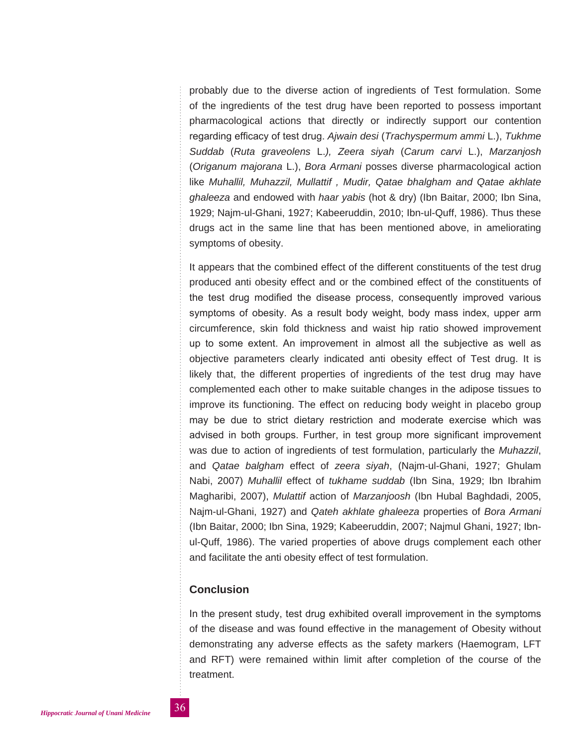probably due to the diverse action of ingredients of Test formulation. Some of the ingredients of the test drug have been reported to possess important pharmacological actions that directly or indirectly support our contention regarding efficacy of test drug. *Ajwain desi* (*Trachyspermum ammi* L.), *Tukhme Suddab* (*Ruta graveolens* L.*), Zeera siyah* (*Carum carvi* L.), *Marzanjosh* (*Origanum majorana* L.), *Bora Armani* posses diverse pharmacological action like *Muhallil, Muhazzil, Mullattif , Mudir, Qatae bhalgham and Qatae akhlate ghaleeza* and endowed with *haar yabis* (hot & dry) (Ibn Baitar, 2000; Ibn Sina, 1929; Najm-ul-Ghani, 1927; Kabeeruddin, 2010; Ibn-ul-Quff, 1986). Thus these drugs act in the same line that has been mentioned above, in ameliorating symptoms of obesity.

It appears that the combined effect of the different constituents of the test drug produced anti obesity effect and or the combined effect of the constituents of the test drug modified the disease process, consequently improved various symptoms of obesity. As a result body weight, body mass index, upper arm circumference, skin fold thickness and waist hip ratio showed improvement up to some extent. An improvement in almost all the subjective as well as objective parameters clearly indicated anti obesity effect of Test drug. It is likely that, the different properties of ingredients of the test drug may have complemented each other to make suitable changes in the adipose tissues to improve its functioning. The effect on reducing body weight in placebo group may be due to strict dietary restriction and moderate exercise which was advised in both groups. Further, in test group more significant improvement was due to action of ingredients of test formulation, particularly the *Muhazzil*, and *Qatae balgham* effect of *zeera siyah*, (Najm-ul-Ghani, 1927; Ghulam Nabi, 2007) *Muhallil* effect of *tukhame suddab* (Ibn Sina, 1929; Ibn Ibrahim Magharibi, 2007), *Mulattif* action of *Marzanjoosh* (Ibn Hubal Baghdadi, 2005, Najm-ul-Ghani, 1927) and *Qateh akhlate ghaleeza* properties of *Bora Armani*  (Ibn Baitar, 2000; Ibn Sina, 1929; Kabeeruddin, 2007; Najmul Ghani, 1927; Ibnul-Quff, 1986). The varied properties of above drugs complement each other and facilitate the anti obesity effect of test formulation.

# **Conclusion**

In the present study, test drug exhibited overall improvement in the symptoms of the disease and was found effective in the management of Obesity without demonstrating any adverse effects as the safety markers (Haemogram, LFT and RFT) were remained within limit after completion of the course of the treatment.

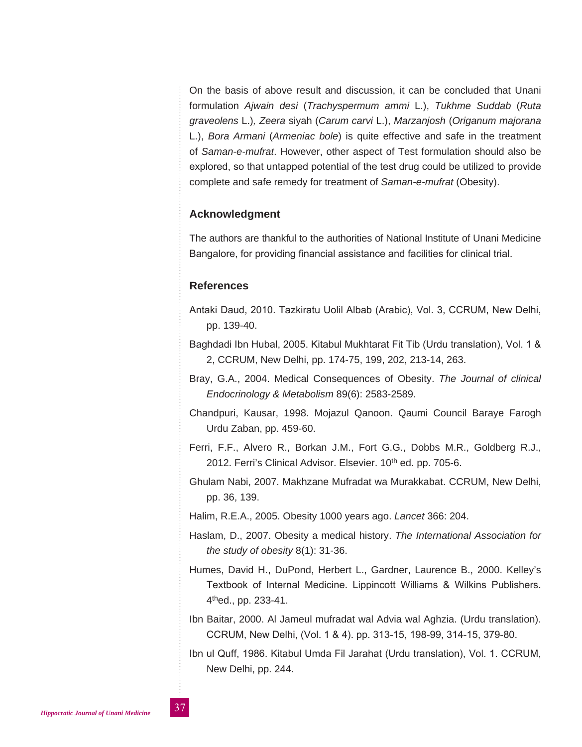On the basis of above result and discussion, it can be concluded that Unani formulation *Ajwain desi* (*Trachyspermum ammi* L.), *Tukhme Suddab* (*Ruta graveolens* L.)*, Zeera* siyah (*Carum carvi* L.), *Marzanjosh* (*Origanum majorana*  L.), *Bora Armani* (*Armeniac bole*) is quite effective and safe in the treatment of *Saman-e-mufrat*. However, other aspect of Test formulation should also be explored, so that untapped potential of the test drug could be utilized to provide complete and safe remedy for treatment of *Saman-e-mufrat* (Obesity).

# **Acknowledgment**

The authors are thankful to the authorities of National Institute of Unani Medicine Bangalore, for providing financial assistance and facilities for clinical trial.

#### **References**

- Antaki Daud, 2010. Tazkiratu Uolil Albab (Arabic), Vol. 3, CCRUM, New Delhi, pp. 139-40.
- Baghdadi Ibn Hubal, 2005. Kitabul Mukhtarat Fit Tib (Urdu translation), Vol. 1 & 2, CCRUM, New Delhi, pp. 174-75, 199, 202, 213-14, 263.
- Bray, G.A., 2004. Medical Consequences of Obesity. *The Journal of clinical Endocrinology & Metabolism* 89(6): 2583-2589.
- Chandpuri, Kausar, 1998. Mojazul Qanoon. Qaumi Council Baraye Farogh Urdu Zaban, pp. 459-60.
- Ferri, F.F., Alvero R., Borkan J.M., Fort G.G., Dobbs M.R., Goldberg R.J., 2012. Ferri's Clinical Advisor. Elsevier. 10<sup>th</sup> ed. pp. 705-6.
- Ghulam Nabi, 2007. Makhzane Mufradat wa Murakkabat. CCRUM, New Delhi, pp. 36, 139.
- Halim, R.E.A., 2005. Obesity 1000 years ago. *Lancet* 366: 204.
- Haslam, D., 2007. Obesity a medical history. *The International Association for the study of obesity* 8(1): 31-36.
- Humes, David H., DuPond, Herbert L., Gardner, Laurence B., 2000. Kelley's Textbook of Internal Medicine. Lippincott Williams & Wilkins Publishers. 4thed., pp. 233-41.
- Ibn Baitar, 2000. Al Jameul mufradat wal Advia wal Aghzia. (Urdu translation). CCRUM, New Delhi, (Vol. 1 & 4). pp. 313-15, 198-99, 314-15, 379-80.
- Ibn ul Quff, 1986. Kitabul Umda Fil Jarahat (Urdu translation), Vol. 1. CCRUM, New Delhi, pp. 244.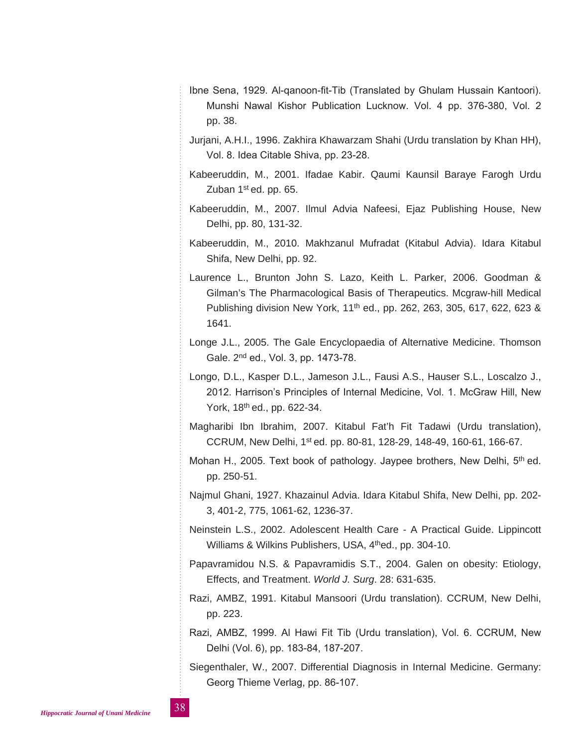- Ibne Sena, 1929. Al-qanoon-fit-Tib (Translated by Ghulam Hussain Kantoori). Munshi Nawal Kishor Publication Lucknow. Vol. 4 pp. 376-380, Vol. 2 pp. 38.
- Jurjani, A.H.I., 1996. Zakhira Khawarzam Shahi (Urdu translation by Khan HH), Vol. 8. Idea Citable Shiva, pp. 23-28.
- Kabeeruddin, M., 2001. Ifadae Kabir. Qaumi Kaunsil Baraye Farogh Urdu Zuban  $1<sup>st</sup>$  ed. pp. 65.
- Kabeeruddin, M., 2007. Ilmul Advia Nafeesi, Ejaz Publishing House, New Delhi, pp. 80, 131-32.
- Kabeeruddin, M., 2010. Makhzanul Mufradat (Kitabul Advia). Idara Kitabul Shifa, New Delhi, pp. 92.
- Laurence L., Brunton John S. Lazo, Keith L. Parker, 2006. Goodman & Gilman's The Pharmacological Basis of Therapeutics. Mcgraw-hill Medical Publishing division New York, 11<sup>th</sup> ed., pp. 262, 263, 305, 617, 622, 623 & 1641.
- Longe J.L., 2005. The Gale Encyclopaedia of Alternative Medicine. Thomson Gale. 2nd ed., Vol. 3, pp. 1473-78.
- Longo, D.L., Kasper D.L., Jameson J.L., Fausi A.S., Hauser S.L., Loscalzo J., 2012. Harrison's Principles of Internal Medicine, Vol. 1. McGraw Hill, New York, 18th ed., pp. 622-34.
- Magharibi Ibn Ibrahim, 2007. Kitabul Fat'h Fit Tadawi (Urdu translation), CCRUM, New Delhi, 1st ed. pp. 80-81, 128-29, 148-49, 160-61, 166-67.
- Mohan H., 2005. Text book of pathology. Jaypee brothers, New Delhi,  $5<sup>th</sup>$  ed. pp. 250-51.
- Najmul Ghani, 1927. Khazainul Advia. Idara Kitabul Shifa, New Delhi, pp. 202- 3, 401-2, 775, 1061-62, 1236-37.
- Neinstein L.S., 2002. Adolescent Health Care A Practical Guide. Lippincott Williams & Wilkins Publishers, USA, 4<sup>th</sup>ed., pp. 304-10.
- Papavramidou N.S. & Papavramidis S.T., 2004. Galen on obesity: Etiology, Effects, and Treatment. *World J. Surg*. 28: 631-635.
- Razi, AMBZ, 1991. Kitabul Mansoori (Urdu translation). CCRUM, New Delhi, pp. 223.
- Razi, AMBZ, 1999. Al Hawi Fit Tib (Urdu translation), Vol. 6. CCRUM, New Delhi (Vol. 6), pp. 183-84, 187-207.
- Siegenthaler, W., 2007. Differential Diagnosis in Internal Medicine. Germany: Georg Thieme Verlag, pp. 86-107.